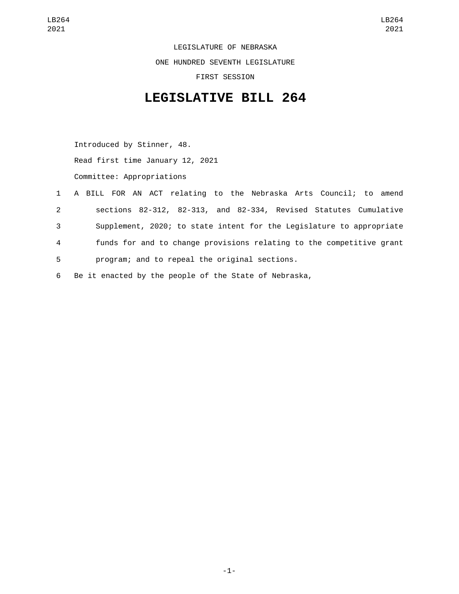LEGISLATURE OF NEBRASKA ONE HUNDRED SEVENTH LEGISLATURE FIRST SESSION

## **LEGISLATIVE BILL 264**

Introduced by Stinner, 48. Read first time January 12, 2021 Committee: Appropriations

|              | 1 A BILL FOR AN ACT relating to the Nebraska Arts Council; to amend  |
|--------------|----------------------------------------------------------------------|
| $\mathbf{2}$ | sections 82-312, 82-313, and 82-334, Revised Statutes Cumulative     |
| 3            | Supplement, 2020; to state intent for the Legislature to appropriate |
| 4            | funds for and to change provisions relating to the competitive grant |
| 5            | program; and to repeal the original sections.                        |
|              |                                                                      |

6 Be it enacted by the people of the State of Nebraska,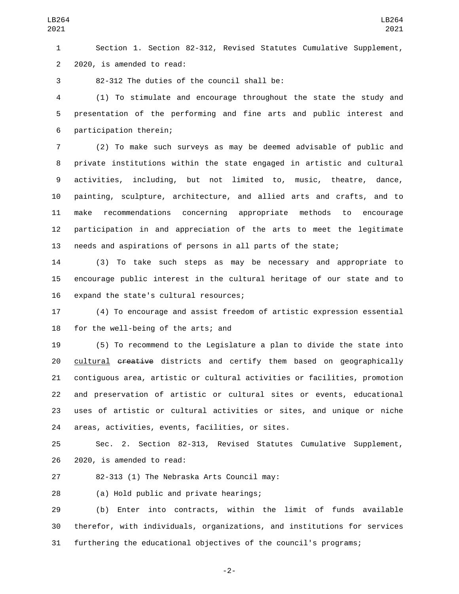Section 1. Section 82-312, Revised Statutes Cumulative Supplement, 2 2020, is amended to read:

82-312 The duties of the council shall be:3

 (1) To stimulate and encourage throughout the state the study and presentation of the performing and fine arts and public interest and 6 participation therein;

 (2) To make such surveys as may be deemed advisable of public and private institutions within the state engaged in artistic and cultural activities, including, but not limited to, music, theatre, dance, painting, sculpture, architecture, and allied arts and crafts, and to make recommendations concerning appropriate methods to encourage participation in and appreciation of the arts to meet the legitimate needs and aspirations of persons in all parts of the state;

 (3) To take such steps as may be necessary and appropriate to encourage public interest in the cultural heritage of our state and to 16 expand the state's cultural resources;

 (4) To encourage and assist freedom of artistic expression essential 18 for the well-being of the arts; and

 (5) To recommend to the Legislature a plan to divide the state into 20 cultural creative districts and certify them based on geographically contiguous area, artistic or cultural activities or facilities, promotion and preservation of artistic or cultural sites or events, educational uses of artistic or cultural activities or sites, and unique or niche 24 areas, activities, events, facilities, or sites.

 Sec. 2. Section 82-313, Revised Statutes Cumulative Supplement, 26 2020, is amended to read:

27 82-313 (1) The Nebraska Arts Council may:

(a) Hold public and private hearings;28

 (b) Enter into contracts, within the limit of funds available therefor, with individuals, organizations, and institutions for services furthering the educational objectives of the council's programs;

-2-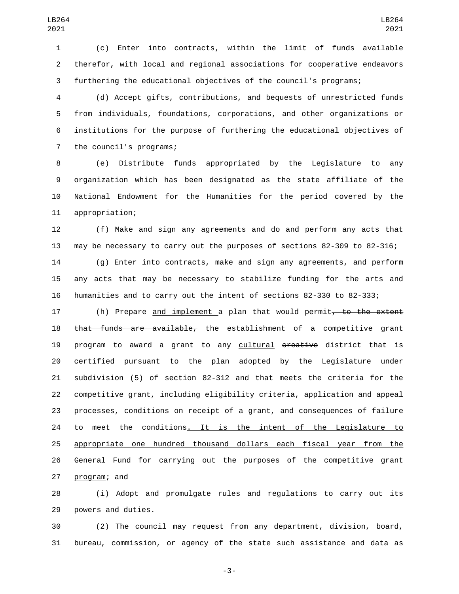(c) Enter into contracts, within the limit of funds available therefor, with local and regional associations for cooperative endeavors furthering the educational objectives of the council's programs;

 (d) Accept gifts, contributions, and bequests of unrestricted funds from individuals, foundations, corporations, and other organizations or institutions for the purpose of furthering the educational objectives of 7 the council's programs;

 (e) Distribute funds appropriated by the Legislature to any organization which has been designated as the state affiliate of the National Endowment for the Humanities for the period covered by the 11 appropriation;

 (f) Make and sign any agreements and do and perform any acts that may be necessary to carry out the purposes of sections 82-309 to 82-316;

 (g) Enter into contracts, make and sign any agreements, and perform any acts that may be necessary to stabilize funding for the arts and humanities and to carry out the intent of sections 82-330 to 82-333;

17 (h) Prepare <u>and implement a</u> plan that would permit<del>, to the extent</del> 18 that funds are available, the establishment of a competitive grant 19 program to award a grant to any cultural creative district that is certified pursuant to the plan adopted by the Legislature under subdivision (5) of section 82-312 and that meets the criteria for the competitive grant, including eligibility criteria, application and appeal processes, conditions on receipt of a grant, and consequences of failure to meet the conditions. It is the intent of the Legislature to appropriate one hundred thousand dollars each fiscal year from the General Fund for carrying out the purposes of the competitive grant 27 program; and

 (i) Adopt and promulgate rules and regulations to carry out its 29 powers and duties.

 (2) The council may request from any department, division, board, bureau, commission, or agency of the state such assistance and data as

-3-